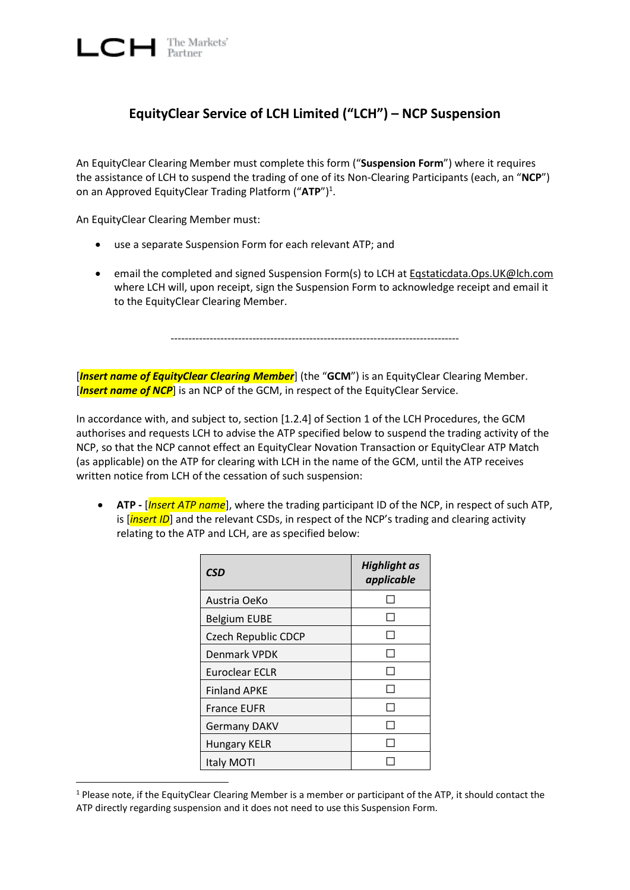$\Box$  The Markets'

## **EquityClear Service of LCH Limited ("LCH") – NCP Suspension**

An EquityClear Clearing Member must complete this form ("**Suspension Form**") where it requires the assistance of LCH to suspend the trading of one of its Non-Clearing Participants (each, an "**NCP**") on an Approved EquityClear Trading Platform ("ATP")<sup>1</sup>.

An EquityClear Clearing Member must:

 $\overline{a}$ 

- use a separate Suspension Form for each relevant ATP; and
- **e** email the completed and signed Suspension Form(s) to LCH at [Eqstaticdata.Ops.UK@lch.com](mailto:Eqstaticdata.Ops.UK@lch.com) where LCH will, upon receipt, sign the Suspension Form to acknowledge receipt and email it to the EquityClear Clearing Member.

---------------------------------------------------------------------------------

[*Insert name of EquityClear Clearing Member*] (the "**GCM**") is an EquityClear Clearing Member. [*Insert name of NCP*] is an NCP of the GCM, in respect of the EquityClear Service.

In accordance with, and subject to, section [1.2.4] of Section 1 of the LCH Procedures, the GCM authorises and requests LCH to advise the ATP specified below to suspend the trading activity of the NCP, so that the NCP cannot effect an EquityClear Novation Transaction or EquityClear ATP Match (as applicable) on the ATP for clearing with LCH in the name of the GCM, until the ATP receives written notice from LCH of the cessation of such suspension:

 **ATP -** [*Insert ATP name*], where the trading participant ID of the NCP, in respect of such ATP, is [*insert ID*] and the relevant CSDs, in respect of the NCP's trading and clearing activity relating to the ATP and LCH, are as specified below:

| <b>CSD</b>                 | <b>Highlight as</b><br>applicable |
|----------------------------|-----------------------------------|
| Austria OeKo               |                                   |
| <b>Belgium EUBE</b>        |                                   |
| <b>Czech Republic CDCP</b> |                                   |
| <b>Denmark VPDK</b>        |                                   |
| Euroclear ECLR             |                                   |
| <b>Finland APKE</b>        |                                   |
| <b>France EUFR</b>         |                                   |
| <b>Germany DAKV</b>        |                                   |
| <b>Hungary KELR</b>        |                                   |
| Italy MOTI                 |                                   |

 $1$  Please note, if the EquityClear Clearing Member is a member or participant of the ATP, it should contact the ATP directly regarding suspension and it does not need to use this Suspension Form.